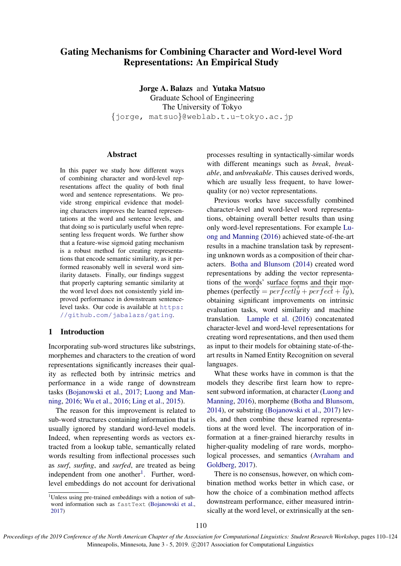# <span id="page-0-0"></span>Gating Mechanisms for Combining Character and Word-level Word Representations: An Empirical Study

Jorge A. Balazs and Yutaka Matsuo Graduate School of Engineering The University of Tokyo {jorge, matsuo}@weblab.t.u-tokyo.ac.jp

### Abstract

In this paper we study how different ways of combining character and word-level representations affect the quality of both final word and sentence representations. We provide strong empirical evidence that modeling characters improves the learned representations at the word and sentence levels, and that doing so is particularly useful when representing less frequent words. We further show that a feature-wise sigmoid gating mechanism is a robust method for creating representations that encode semantic similarity, as it performed reasonably well in several word similarity datasets. Finally, our findings suggest that properly capturing semantic similarity at the word level does not consistently yield improved performance in downstream sentencelevel tasks. Our code is available at [https:](https://github.com/jabalazs/gating) [//github.com/jabalazs/gating](https://github.com/jabalazs/gating).

### 1 Introduction

Incorporating sub-word structures like substrings, morphemes and characters to the creation of word representations significantly increases their quality as reflected both by intrinsic metrics and performance in a wide range of downstream tasks [\(Bojanowski et al.,](#page-8-0) [2017;](#page-8-0) [Luong and Man](#page-10-0)[ning,](#page-10-0) [2016;](#page-10-0) [Wu et al.,](#page-12-0) [2016;](#page-12-0) [Ling et al.,](#page-10-1) [2015\)](#page-10-1).

The reason for this improvement is related to sub-word structures containing information that is usually ignored by standard word-level models. Indeed, when representing words as vectors extracted from a lookup table, semantically related words resulting from inflectional processes such as *surf*, *surfing*, and *surfed*, are treated as being independent from one another<sup>1</sup>. Further, wordlevel embeddings do not account for derivational

processes resulting in syntactically-similar words with different meanings such as *break*, *breakable*, and *unbreakable*. This causes derived words, which are usually less frequent, to have lowerquality (or no) vector representations.

Previous works have successfully combined character-level and word-level word representations, obtaining overall better results than using only word-level representations. For example [Lu](#page-10-0)[ong and Manning](#page-10-0) [\(2016\)](#page-10-0) achieved state-of-the-art results in a machine translation task by representing unknown words as a composition of their characters. [Botha and Blunsom](#page-8-1) [\(2014\)](#page-8-1) created word representations by adding the vector representations of the words' surface forms and their morphemes ( $\overrightarrow{perfectly} = \overrightarrow{perfectly} + \overrightarrow{perfect} + \overrightarrow{ly}$ ), obtaining significant improvements on intrinsic evaluation tasks, word similarity and machine translation. [Lample et al.](#page-10-2) [\(2016\)](#page-10-2) concatenated character-level and word-level representations for creating word representations, and then used them as input to their models for obtaining state-of-theart results in Named Entity Recognition on several languages.

What these works have in common is that the models they describe first learn how to represent subword information, at character [\(Luong and](#page-10-0) [Manning,](#page-10-0) [2016\)](#page-10-0), morpheme [\(Botha and Blunsom,](#page-8-1) [2014\)](#page-8-1), or substring [\(Bojanowski et al.,](#page-8-0) [2017\)](#page-8-0) levels, and then combine these learned representations at the word level. The incorporation of information at a finer-grained hierarchy results in higher-quality modeling of rare words, morphological processes, and semantics [\(Avraham and](#page-8-2) [Goldberg,](#page-8-2) [2017\)](#page-8-2).

There is no consensus, however, on which combination method works better in which case, or how the choice of a combination method affects downstream performance, either measured intrinsically at the word level, or extrinsically at the sen-

<sup>&</sup>lt;sup>1</sup>Unless using pre-trained embeddings with a notion of sub-word information such as fastText [\(Bojanowski et al.,](#page-8-0) [2017\)](#page-8-0)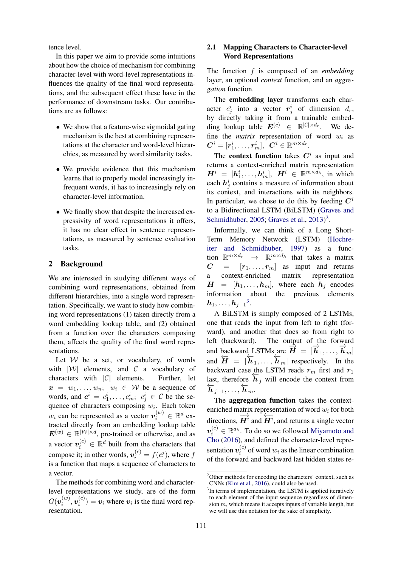tence level.

In this paper we aim to provide some intuitions about how the choice of mechanism for combining character-level with word-level representations influences the quality of the final word representations, and the subsequent effect these have in the performance of downstream tasks. Our contributions are as follows:

- We show that a feature-wise sigmoidal gating mechanism is the best at combining representations at the character and word-level hierarchies, as measured by word similarity tasks.
- We provide evidence that this mechanism learns that to properly model increasingly infrequent words, it has to increasingly rely on character-level information.
- We finally show that despite the increased expressivity of word representations it offers, it has no clear effect in sentence representations, as measured by sentence evaluation tasks.

### 2 Background

We are interested in studying different ways of combining word representations, obtained from different hierarchies, into a single word representation. Specifically, we want to study how combining word representations (1) taken directly from a word embedding lookup table, and (2) obtained from a function over the characters composing them, affects the quality of the final word representations.

Let  $W$  be a set, or vocabulary, of words with  $|W|$  elements, and  $C$  a vocabulary of characters with  $|C|$  elements. Further, let  $x = w_1, \ldots, w_n; w_i \in W$  be a sequence of words, and  $c^i = c_1^i, \ldots, c_m^i; c_j^i \in \mathcal{C}$  be the sequence of characters composing  $w_i$ . Each token  $w_i$  can be represented as a vector  $v_i^{(w)} \in \mathbb{R}^d$  extracted directly from an embedding lookup table  $E^{(w)} \in \mathbb{R}^{|\mathcal{W}| \times d}$ , pre-trained or otherwise, and as a vector  $v_i^{(c)} \in \mathbb{R}^d$  built from the characters that compose it; in other words,  $v_i^{(c)} = f(c^i)$ , where  $f$ is a function that maps a sequence of characters to a vector.

The methods for combining word and characterlevel representations we study, are of the form  $G(\bm{v}_i^{(w)}$  $\overset{(w)}{_{i}},\overset{(c)}{v_{i}^{(c)}}$  $i_i^{(c)}$  =  $v_i$  where  $v_i$  is the final word representation.

# 2.1 Mapping Characters to Character-level Word Representations

The function f is composed of an *embedding* layer, an optional *context* function, and an *aggregation* function.

The embedding layer transforms each character  $c_j^i$  into a vector  $r_j^i$  of dimension  $d_r$ , by directly taking it from a trainable embedding lookup table  $E^{(c)} \in \mathbb{R}^{|\mathcal{C}| \times d_r}$ . We define the *matrix* representation of word  $w_i$  as  $\boldsymbol{C}^i=[\boldsymbol{r}^i_1,\dots,\boldsymbol{r}^i_m],\,\,\, \boldsymbol{C}^i\in\mathbb{R}^{m\times d_r}.$ 

The context function takes  $C<sup>i</sup>$  as input and returns a context-enriched matrix representation  $\boldsymbol{H}^{i} = [\boldsymbol{h}_{1}^{i}, \dots, \boldsymbol{h}_{m}^{i}], \ \boldsymbol{H}^{i} \in \mathbb{R}^{m \times d_{h}}, \text{ in which}$ each  $h_j^i$  contains a measure of information about its context, and interactions with its neighbors. In particular, we chose to do this by feeding  $C^i$ to a Bidirectional LSTM (BiLSTM) [\(Graves and](#page-9-0) [Schmidhuber,](#page-9-0) [2005;](#page-9-0) [Graves et al.,](#page-9-1) [2013\)](#page-9-1)<sup>[2](#page-0-0)</sup>.

Informally, we can think of a Long Short-Term Memory Network (LSTM) [\(Hochre](#page-9-2)[iter and Schmidhuber,](#page-9-2) [1997\)](#page-9-2) as a function  $\mathbb{R}^{m \times d_r} \rightarrow \mathbb{R}^{m \times d_h}$  that takes a matrix  $C = [r_1, \ldots, r_m]$  as input and returns a context-enriched matrix representation  $H = [h_1, \ldots, h_m]$ , where each  $h_i$  encodes information about the previous elements  $\bm{h}_1,\ldots,\bm{h}_{j-1}{}^3.$  $\bm{h}_1,\ldots,\bm{h}_{j-1}{}^3.$  $\bm{h}_1,\ldots,\bm{h}_{j-1}{}^3.$ 

A BiLSTM is simply composed of 2 LSTMs, one that reads the input from left to right (forward), and another that does so from right to left (backward). The output of the forward and backward LSTMs are  $\vec{H} = [\vec{h}_1, ..., \vec{h}_m]$ and  $\overleftrightarrow{H} = [\overleftrightarrow{h}_1, ..., \overleftrightarrow{h}_m]$  respectively. In the backward case the LSTM reads  $r_m$  first and  $r_1$ backward case  $\frac{\text{ln}}{h_j}$  will encode the context from  $\overleftarrow{h}_{j+1}, \ldots, \overleftarrow{h}_{m}.$ 

The aggregation function takes the contextenriched matrix representation of word  $w_i$  for both directions,  $\frac{1}{\overrightarrow{H}^i}$  and  $\overleftarrow{H}^i$ , and returns a single vector  $\boldsymbol{v}_i^{(c)} \in \mathbb{R}^{d_h}$ . To do so we followed [Miyamoto and](#page-10-3) [Cho](#page-10-3) [\(2016\)](#page-10-3), and defined the character-level representation  $v_i^{(c)}$  $i_i^{(c)}$  of word  $w_i$  as the linear combination of the forward and backward last hidden states re-

<sup>2</sup>Other methods for encoding the characters' context, such as CNNs [\(Kim et al.,](#page-10-4) [2016\)](#page-10-4), could also be used.

<sup>&</sup>lt;sup>3</sup>In terms of implementation, the LSTM is applied iteratively to each element of the input sequence regardless of dimension  $m$ , which means it accepts inputs of variable length, but we will use this notation for the sake of simplicity.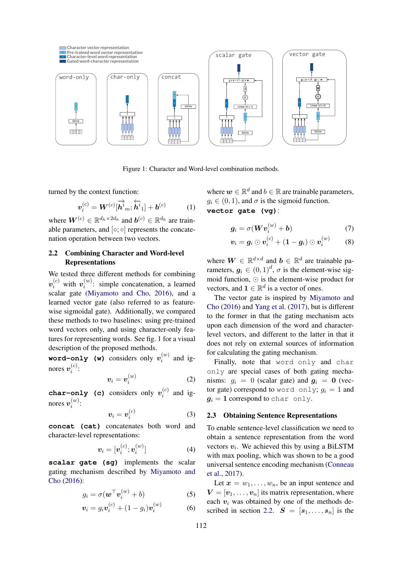<span id="page-2-0"></span>

<span id="page-2-4"></span>Figure 1: Character and Word-level combination methods.

turned by the context function:

$$
\boldsymbol{v}_i^{(c)} = \boldsymbol{W}^{(c)}[\overrightarrow{\boldsymbol{h}}^i_m; \overleftarrow{\boldsymbol{h}}^i_1] + \boldsymbol{b}^{(c)} \qquad (1)
$$

where  $W^{(c)} \in \mathbb{R}^{d_h \times 2d_h}$  and  $b^{(c)} \in \mathbb{R}^{d_h}$  are trainable parameters, and  $[{\circ};{\circ}]$  represents the concatenation operation between two vectors.

# <span id="page-2-1"></span>2.2 Combining Character and Word-level Representations

Figure 1: Character and Word-<br>
Figure 1: Character and Word-<br>
the context function:<br>  $v_i^{(c)} = W^{(c)}[\vec{h}^i_m; \vec{h}^i_1] + b^{(c)}$  (1)<br>  $v_i^{(c)} = W^{(c)}[\vec{h}^i_m; \vec{h}^i_1] + b^{(c)}$  (1)<br>  $v_i^{(c)} \in \mathbb{R}^{d_h} \times 2d_h$  and  $b^{(c)} \in \mathbb{R}^{$ We tested three different methods for combining  $\bm{v}_i^{(c)}$  with  $\bm{v}_i^{(w)}$  $i^{(w)}$ : simple concatenation, a learned scalar gate [\(Miyamoto and Cho,](#page-10-3) [2016\)](#page-10-3), and a learned vector gate (also referred to as featurewise sigmoidal gate). Additionally, we compared these methods to two baselines: using pre-trained word vectors only, and using character-only features for representing words. See fig. [1](#page-2-0) for a visual description of the proposed methods.

 ${\tt word-only}$  (w) considers only  $v_i^{(w)}$  $i^{(w)}$  and ignores  $v_i^{(c)}$  $\binom{c}{i}$ :

$$
\boldsymbol{v}_i = \boldsymbol{v}_i^{(w)} \tag{2}
$$

char-only (c) considers only  $v_i^{(c)}$  $i^{(c)}$  and ignores  $v_i^{(w)}$  $\binom{w}{i}$ :

$$
\boldsymbol{v}_i = \boldsymbol{v}_i^{(c)} \tag{3}
$$

**concat (cat)** concatenates both word and character-level representations:

$$
\boldsymbol{v}_i = [\boldsymbol{v}_i^{(c)}; \boldsymbol{v}_i^{(w)}] \tag{4}
$$

**scalar gate (sg)** implements the scalar gating mechanism described by [Miyamoto and](#page-10-3) [Cho](#page-10-3) [\(2016\)](#page-10-3):

$$
g_i = \sigma(\boldsymbol{w}^\top \boldsymbol{v}_i^{(w)} + b) \tag{5}
$$

$$
\boldsymbol{v}_i = g_i \boldsymbol{v}_i^{(c)} + (1 - g_i) \boldsymbol{v}_i^{(w)} \tag{6}
$$

where  $w \in \mathbb{R}^d$  and  $b \in \mathbb{R}$  are trainable parameters,  $g_i \in (0, 1)$ , and  $\sigma$  is the sigmoid function.

# **vector gate (vg)**:

$$
g_i = \sigma(Wv_i^{(w)} + b)
$$
 (7)

<span id="page-2-2"></span>
$$
\boldsymbol{v}_i = \boldsymbol{g}_i \odot \boldsymbol{v}_i^{(c)} + (1 - \boldsymbol{g}_i) \odot \boldsymbol{v}_i^{(w)} \qquad (8)
$$

where  $\mathbf{W} \in \mathbb{R}^{d \times d}$  and  $\mathbf{b} \in \mathbb{R}^{d}$  are trainable parameters,  $g_i \in (0,1)^d$ ,  $\sigma$  is the element-wise sigmoid function,  $\odot$  is the element-wise product for vectors, and  $\mathbf{1} \in \mathbb{R}^d$  is a vector of ones.

The vector gate is inspired by [Miyamoto and](#page-10-3) [Cho](#page-10-3) [\(2016\)](#page-10-3) and [Yang et al.](#page-12-1) [\(2017\)](#page-12-1), but is different to the former in that the gating mechanism acts upon each dimension of the word and characterlevel vectors, and different to the latter in that it does not rely on external sources of information for calculating the gating mechanism.

Finally, note that word only and char only are special cases of both gating mechanisms:  $q_i = 0$  (scalar gate) and  $q_i = 0$  (vector gate) correspond to word only;  $g_i = 1$  and  $g_i = 1$  correspond to char only.

# 2.3 Obtaining Sentence Representations

To enable sentence-level classification we need to obtain a sentence representation from the word vectors  $v_i$ . We achieved this by using a BiLSTM with max pooling, which was shown to be a good universal sentence encoding mechanism [\(Conneau](#page-9-3) [et al.,](#page-9-3) [2017\)](#page-9-3).

<span id="page-2-3"></span>Let  $x = w_1, \ldots, w_n$ , be an input sentence and  $V = [v_1, \ldots, v_n]$  its matrix representation, where each  $v_i$  was obtained by one of the methods de-scribed in section [2.2.](#page-2-1)  $S = [s_1, \ldots, s_n]$  is the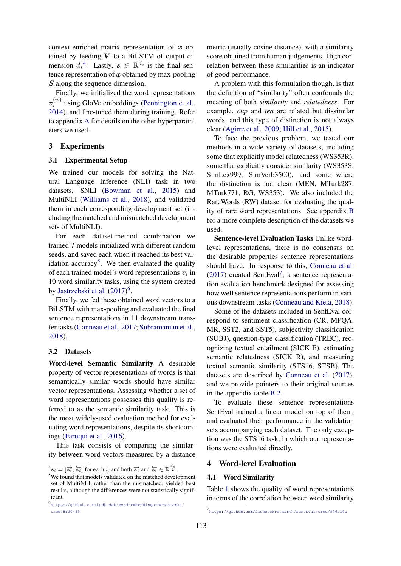context-enriched matrix representation of  $x$  obtained by feeding  $V$  to a BiLSTM of output dimension  $d_s^4$  $d_s^4$ . Lastly,  $s \in \mathbb{R}^{d_s}$  is the final sentence representation of  $x$  obtained by max-pooling S along the sequence dimension.

Finally, we initialized the word representations  $\bm{v}_i^{(w)}$  $i^{(w)}$  using GloVe embeddings [\(Pennington et al.,](#page-11-0) [2014\)](#page-11-0), and fine-tuned them during training. Refer to appendix [A](#page-12-2) for details on the other hyperparameters we used.

### 3 Experiments

### 3.1 Experimental Setup

We trained our models for solving the Natural Language Inference (NLI) task in two datasets, SNLI [\(Bowman et al.,](#page-8-3) [2015\)](#page-8-3) and MultiNLI [\(Williams et al.,](#page-12-3) [2018\)](#page-12-3), and validated them in each corresponding development set (including the matched and mismatched development sets of MultiNLI).

For each dataset-method combination we trained 7 models initialized with different random seeds, and saved each when it reached its best val-idation accuracy<sup>[5](#page-0-0)</sup>. We then evaluated the quality of each trained model's word representations  $v_i$  in 10 word similarity tasks, using the system created by [Jastrzebski et al.](#page-9-4)  $(2017)^6$  $(2017)^6$  $(2017)^6$ .

Finally, we fed these obtained word vectors to a BiLSTM with max-pooling and evaluated the final sentence representations in 11 downstream transfer tasks [\(Conneau et al.,](#page-9-3) [2017;](#page-9-3) [Subramanian et al.,](#page-11-1) [2018\)](#page-11-1).

#### <span id="page-3-1"></span>3.2 Datasets

Word-level Semantic Similarity A desirable property of vector representations of words is that semantically similar words should have similar vector representations. Assessing whether a set of word representations possesses this quality is referred to as the semantic similarity task. This is the most widely-used evaluation method for evaluating word representations, despite its shortcomings [\(Faruqui et al.,](#page-9-5) [2016\)](#page-9-5).

This task consists of comparing the similarity between word vectors measured by a distance

metric (usually cosine distance), with a similarity score obtained from human judgements. High correlation between these similarities is an indicator of good performance.

A problem with this formulation though, is that the definition of "similarity" often confounds the meaning of both *similarity* and *relatedness*. For example, *cup* and *tea* are related but dissimilar words, and this type of distinction is not always clear [\(Agirre et al.,](#page-8-4) [2009;](#page-8-4) [Hill et al.,](#page-9-6) [2015\)](#page-9-6).

To face the previous problem, we tested our methods in a wide variety of datasets, including some that explicitly model relatedness (WS353R), some that explicitly consider similarity (WS353S, SimLex999, SimVerb3500), and some where the distinction is not clear (MEN, MTurk287, MTurk771, RG, WS353). We also included the RareWords (RW) dataset for evaluating the quality of rare word representations. See appendix [B](#page-12-4) for a more complete description of the datasets we used.

Sentence-level Evaluation Tasks Unlike wordlevel representations, there is no consensus on the desirable properties sentence representations should have. In response to this, [Conneau et al.](#page-9-3) [\(2017\)](#page-9-3) created SentEval[7](#page-0-0) , a sentence representation evaluation benchmark designed for assessing how well sentence representations perform in various downstream tasks [\(Conneau and Kiela,](#page-9-7) [2018\)](#page-9-7).

Some of the datasets included in SentEval correspond to sentiment classification (CR, MPQA, MR, SST2, and SST5), subjectivity classification (SUBJ), question-type classification (TREC), recognizing textual entailment (SICK E), estimating semantic relatedness (SICK R), and measuring textual semantic similarity (STS16, STSB). The datasets are described by [Conneau et al.](#page-9-3) [\(2017\)](#page-9-3), and we provide pointers to their original sources in the appendix table [B.2.](#page-14-0)

To evaluate these sentence representations SentEval trained a linear model on top of them, and evaluated their performance in the validation sets accompanying each dataset. The only exception was the STS16 task, in which our representations were evaluated directly.

### 4 Word-level Evaluation

#### <span id="page-3-0"></span>4.1 Word Similarity

Table [1](#page-4-0) shows the quality of word representations in terms of the correlation between word similarity

 $\mathcal{L}^4 s_i = [\vec{s}_i; \overleftarrow{s}_i]$  for each i, and both  $\overrightarrow{s}_i$  and  $\overleftarrow{s}_i \in \mathbb{R}^{\frac{d_s}{2}}$ .

<sup>5</sup>We found that models validated on the matched development set of MultiNLI, rather than the mismatched, yielded best results, although the differences were not statistically significant.

<sup>6</sup> [https://github.com/kudkudak/word-embeddings-benchmarks/](https://github.com/kudkudak/word-embeddings-benchmarks/tree/8fd0489) [tree/8fd0489](https://github.com/kudkudak/word-embeddings-benchmarks/tree/8fd0489)

<sup>7</sup> <https://github.com/facebookresearch/SentEval/tree/906b34a>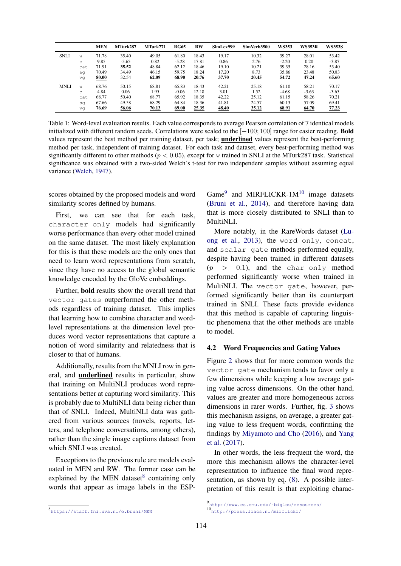<span id="page-4-0"></span>

|             |     | <b>MEN</b> | MTurk287 | MTurk771 | <b>RG65</b> | <b>RW</b> | SimLex999 | SimVerb3500 | <b>WS353</b> | <b>WS353R</b> | <b>WS353S</b> |
|-------------|-----|------------|----------|----------|-------------|-----------|-----------|-------------|--------------|---------------|---------------|
| <b>SNLI</b> | W   | 71.78      | 35.40    | 49.05    | 61.80       | 18.43     | 19.17     | 10.32       | 39.27        | 28.01         | 53.42         |
|             | C   | 9.85       | $-5.65$  | 0.82     | $-5.28$     | 17.81     | 0.86      | 2.76        | $-2.20$      | 0.20          | $-3.87$       |
|             | cat | 71.91      | 35.52    | 48.84    | 62.12       | 18.46     | 19.10     | 10.21       | 39.35        | 28.16         | 53.40         |
|             | sq  | 70.49      | 34.49    | 46.15    | 59.75       | 18.24     | 17.20     | 8.73        | 35.86        | 23.48         | 50.83         |
|             | vq  | 80.00      | 32.54    | 62.09    | 68.90       | 20.76     | 37.70     | 20.45       | 54.72        | 47.24         | 65.60         |
| <b>MNLI</b> | W   | 68.76      | 50.15    | 68.81    | 65.83       | 18.43     | 42.21     | 25.18       | 61.10        | 58.21         | 70.17         |
|             | C   | 4.84       | 0.06     | 1.95     | $-0.06$     | 12.18     | 3.01      | 1.52        | $-4.68$      | $-3.63$       | $-3.65$       |
|             | cat | 68.77      | 50.40    | 68.77    | 65.92       | 18.35     | 42.22     | 25.12       | 61.15        | 58.26         | 70.21         |
|             | sq  | 67.66      | 49.58    | 68.29    | 64.84       | 18.36     | 41.81     | 24.57       | 60.13        | 57.09         | 69.41         |
|             | vq  | 76.69      | 56.06    | 70.13    | 69.00       | 25.35     | 48.40     | 35.12       | 68.91        | 64.70         | 77.23         |

Table 1: Word-level evaluation results. Each value corresponds to average Pearson correlation of 7 identical models initialized with different random seeds. Correlations were scaled to the [−100; 100] range for easier reading. Bold values represent the best method per training dataset, per task; underlined values represent the best-performing method per task, independent of training dataset. For each task and dataset, every best-performing method was significantly different to other methods ( $p < 0.05$ ), except for w trained in SNLI at the MTurk287 task. Statistical significance was obtained with a two-sided Welch's t-test for two independent samples without assuming equal variance [\(Welch,](#page-11-2) [1947\)](#page-11-2).

scores obtained by the proposed models and word similarity scores defined by humans.

First, we can see that for each task, character only models had significantly worse performance than every other model trained on the same dataset. The most likely explanation for this is that these models are the only ones that need to learn word representations from scratch, since they have no access to the global semantic knowledge encoded by the GloVe embeddings.

Further, bold results show the overall trend that vector gates outperformed the other methods regardless of training dataset. This implies that learning how to combine character and wordlevel representations at the dimension level produces word vector representations that capture a notion of word similarity and relatedness that is closer to that of humans.

Additionally, results from the MNLI row in general, and underlined results in particular, show that training on MultiNLI produces word representations better at capturing word similarity. This is probably due to MultiNLI data being richer than that of SNLI. Indeed, MultiNLI data was gathered from various sources (novels, reports, letters, and telephone conversations, among others), rather than the single image captions dataset from which SNLI was created.

Exceptions to the previous rule are models evaluated in MEN and RW. The former case can be explained by the MEN dataset<sup>[8](#page-0-0)</sup> containing only words that appear as image labels in the ESP-

Game<sup>[9](#page-0-0)</sup> and MIRFLICKR-1M<sup>[10](#page-0-0)</sup> image datasets [\(Bruni et al.,](#page-8-5) [2014\)](#page-8-5), and therefore having data that is more closely distributed to SNLI than to MultiNLI.

More notably, in the RareWords dataset [\(Lu](#page-10-5)[ong et al.,](#page-10-5) [2013\)](#page-10-5), the word only, concat, and scalar gate methods performed equally, despite having been trained in different datasets  $(p > 0.1)$ , and the char only method performed significantly worse when trained in MultiNLI. The vector gate, however, performed significantly better than its counterpart trained in SNLI. These facts provide evidence that this method is capable of capturing linguistic phenomena that the other methods are unable to model.

#### 4.2 Word Frequencies and Gating Values

Figure [2](#page-5-0) shows that for more common words the vector gate mechanism tends to favor only a few dimensions while keeping a low average gating value across dimensions. On the other hand, values are greater and more homogeneous across dimensions in rarer words. Further, fig. [3](#page-5-1) shows this mechanism assigns, on average, a greater gating value to less frequent words, confirming the findings by [Miyamoto and Cho](#page-10-3) [\(2016\)](#page-10-3), and [Yang](#page-12-1) [et al.](#page-12-1) [\(2017\)](#page-12-1).

In other words, the less frequent the word, the more this mechanism allows the character-level representation to influence the final word representation, as shown by eq. [\(8\)](#page-2-2). A possible interpretation of this result is that exploiting charac-

<sup>8</sup> <https://staff.fni.uva.nl/e.bruni/MEN>

<sup>9</sup> [http://www.cs.cmu.edu/˜biglou/resources/](http://www.cs.cmu.edu/~biglou/resources/) <sup>10</sup><http://press.liacs.nl/mirflickr/>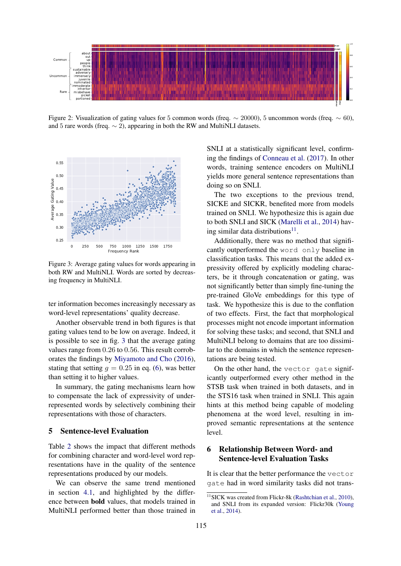<span id="page-5-0"></span>

Figure 2: Visualization of gating values for 5 common words (freq.  $\sim$  20000), 5 uncommon words (freq.  $\sim$  60), and 5 rare words (freq.  $\sim$  2), appearing in both the RW and MultiNLI datasets.

<span id="page-5-1"></span>

Figure 3: Average gating values for words appearing in both RW and MultiNLI. Words are sorted by decreasing frequency in MultiNLI.

ter information becomes increasingly necessary as word-level representations' quality decrease.

Another observable trend in both figures is that gating values tend to be low on average. Indeed, it is possible to see in fig. [3](#page-5-1) that the average gating values range from 0.26 to 0.56. This result corroborates the findings by [Miyamoto and Cho](#page-10-3) [\(2016\)](#page-10-3), stating that setting  $q = 0.25$  in eq. [\(6\)](#page-2-3), was better than setting it to higher values.

In summary, the gating mechanisms learn how to compensate the lack of expressivity of underrepresented words by selectively combining their representations with those of characters.

## 5 Sentence-level Evaluation

Table [2](#page-6-0) shows the impact that different methods for combining character and word-level word representations have in the quality of the sentence representations produced by our models.

We can observe the same trend mentioned in section [4.1,](#page-3-0) and highlighted by the difference between bold values, that models trained in MultiNLI performed better than those trained in SNLI at a statistically significant level, confirming the findings of [Conneau et al.](#page-9-3) [\(2017\)](#page-9-3). In other words, training sentence encoders on MultiNLI yields more general sentence representations than doing so on SNLI.

The two exceptions to the previous trend, SICKE and SICKR, benefited more from models trained on SNLI. We hypothesize this is again due to both SNLI and SICK [\(Marelli et al.,](#page-10-6) [2014\)](#page-10-6) hav-ing similar data distributions<sup>[11](#page-0-0)</sup>.

Additionally, there was no method that significantly outperformed the word only baseline in classification tasks. This means that the added expressivity offered by explicitly modeling characters, be it through concatenation or gating, was not significantly better than simply fine-tuning the pre-trained GloVe embeddings for this type of task. We hypothesize this is due to the conflation of two effects. First, the fact that morphological processes might not encode important information for solving these tasks; and second, that SNLI and MultiNLI belong to domains that are too dissimilar to the domains in which the sentence representations are being tested.

On the other hand, the vector gate significantly outperformed every other method in the STSB task when trained in both datasets, and in the STS16 task when trained in SNLI. This again hints at this method being capable of modeling phenomena at the word level, resulting in improved semantic representations at the sentence level.

# 6 Relationship Between Word- and Sentence-level Evaluation Tasks

It is clear that the better performance the vector gate had in word similarity tasks did not trans-

<sup>&</sup>lt;sup>11</sup>SICK was created from Flickr-8k [\(Rashtchian et al.,](#page-11-3) [2010\)](#page-11-3), and SNLI from its expanded version: Flickr30k [\(Young](#page-12-5) [et al.,](#page-12-5) [2014\)](#page-12-5).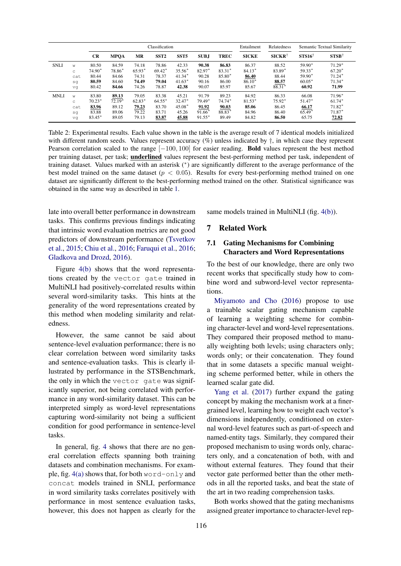<span id="page-6-0"></span>

|             |     |           | Classification |          |                  |                  |             |             |              | Relatedness       | Semantic Textual Similarity |                  |
|-------------|-----|-----------|----------------|----------|------------------|------------------|-------------|-------------|--------------|-------------------|-----------------------------|------------------|
|             |     | <b>CR</b> | <b>MPQA</b>    | MR       | SST <sub>2</sub> | SST <sub>5</sub> | <b>SUBJ</b> | <b>TREC</b> | <b>SICKE</b> | $SICKR^{\dagger}$ | $STS16^{\dagger}$           | $STSB^{\dagger}$ |
| <b>SNLI</b> | W   | 80.50     | 84.59          | 74.18    | 78.86            | 42.33            | 90.38       | 86.83       | 86.37        | 88.52             | 59.90*                      | $71.29*$         |
|             | C   | 74.90*    | 78.86*         | $65.93*$ | $69.42*$         | $35.56*$         | 82.97*      | $83.31*$    | $84.13*$     | 83.89*            | $59.33*$                    | $67.20*$         |
|             | cat | 80.44     | 84.66          | 74.31    | 78.37            | $41.34*$         | 90.28       | 85.80*      | 86.40        | 88.44             | 59.90*                      | $71.24*$         |
|             | sq  | 80.59     | 84.60          | 74.49    | 79.04            | $41.63*$         | 90.16       | 86.00       | $86.10*$     | 88.57             | $60.05*$                    | $71.34*$         |
|             | vq  | 80.42     | 84.66          | 74.26    | 78.87            | 42.38            | 90.07       | 85.97       | 85.67        | 88.31*            | 60.92                       | 71.99            |
| <b>MNLI</b> | W   | 83.80     | 89.13          | 79.05    | 83.38            | 45.21            | 91.79       | 89.23       | 84.92        | 86.33             | 66.08                       | $71.96*$         |
|             | C   | $70.23*$  | $72.19*$       | $62.83*$ | $64.55*$         | 32.47*           | 79.49*      | $74.74*$    | $81.53*$     | $75.92*$          | 51.47*                      | $61.74*$         |
|             | cat | 83.96     | 89.12          | 79.23    | 83.70            | $45.08*$         | 91.92       | 90.03       | 85.06        | 86.45             | 66.17                       | $71.82*$         |
|             | sq  | 83.88     | 89.06          | 79.22    | 83.71            | 45.26            | $91.66*$    | 88.83*      | 84.96        | 86.40             | $65.49*$                    | $71.87*$         |
|             | vq  | 83.45*    | 89.05          | 79.13    | 83.87            | 45.88            | $91.55*$    | 89.49       | 84.82        | 86.50             | 65.75                       | 72.82            |

Table 2: Experimental results. Each value shown in the table is the average result of 7 identical models initialized with different random seeds. Values represent accuracy  $(\%)$  unless indicated by  $\dagger$ , in which case they represent Pearson correlation scaled to the range [−100, 100] for easier reading. **Bold** values represent the best method per training dataset, per task; underlined values represent the best-performing method per task, independent of training dataset. Values marked with an asterisk (<sup>∗</sup> ) are significantly different to the average performance of the best model trained on the same dataset ( $p < 0.05$ ). Results for every best-performing method trained on one dataset are significantly different to the best-performing method trained on the other. Statistical significance was obtained in the same way as described in table [1.](#page-4-0)

late into overall better performance in downstream tasks. This confirms previous findings indicating that intrinsic word evaluation metrics are not good predictors of downstream performance [\(Tsvetkov](#page-11-4) [et al.,](#page-11-4) [2015;](#page-11-4) [Chiu et al.,](#page-8-6) [2016;](#page-8-6) [Faruqui et al.,](#page-9-5) [2016;](#page-9-5) [Gladkova and Drozd,](#page-9-8) [2016\)](#page-9-8).

Figure [4\(b\)](#page-7-0) shows that the word representations created by the vector gate trained in MultiNLI had positively-correlated results within several word-similarity tasks. This hints at the generality of the word representations created by this method when modeling similarity and relatedness.

However, the same cannot be said about sentence-level evaluation performance; there is no clear correlation between word similarity tasks and sentence-evaluation tasks. This is clearly illustrated by performance in the STSBenchmark, the only in which the vector gate was significantly superior, not being correlated with performance in any word-similarity dataset. This can be interpreted simply as word-level representations capturing word-similarity not being a sufficient condition for good performance in sentence-level tasks.

In general, fig. [4](#page-7-0) shows that there are no general correlation effects spanning both training datasets and combination mechanisms. For example, fig.  $4(a)$  shows that, for both word-only and concat models trained in SNLI, performance in word similarity tasks correlates positively with performance in most sentence evaluation tasks, however, this does not happen as clearly for the same models trained in MultiNLI (fig. [4\(b\)\)](#page-7-0).

#### 7 Related Work

## 7.1 Gating Mechanisms for Combining Characters and Word Representations

To the best of our knowledge, there are only two recent works that specifically study how to combine word and subword-level vector representations.

[Miyamoto and Cho](#page-10-3) [\(2016\)](#page-10-3) propose to use a trainable scalar gating mechanism capable of learning a weighting scheme for combining character-level and word-level representations. They compared their proposed method to manually weighting both levels; using characters only; words only; or their concatenation. They found that in some datasets a specific manual weighting scheme performed better, while in others the learned scalar gate did.

[Yang et al.](#page-12-1) [\(2017\)](#page-12-1) further expand the gating concept by making the mechanism work at a finergrained level, learning how to weight each vector's dimensions independently, conditioned on external word-level features such as part-of-speech and named-entity tags. Similarly, they compared their proposed mechanism to using words only, characters only, and a concatenation of both, with and without external features. They found that their vector gate performed better than the other methods in all the reported tasks, and beat the state of the art in two reading comprehension tasks.

Both works showed that the gating mechanisms assigned greater importance to character-level rep-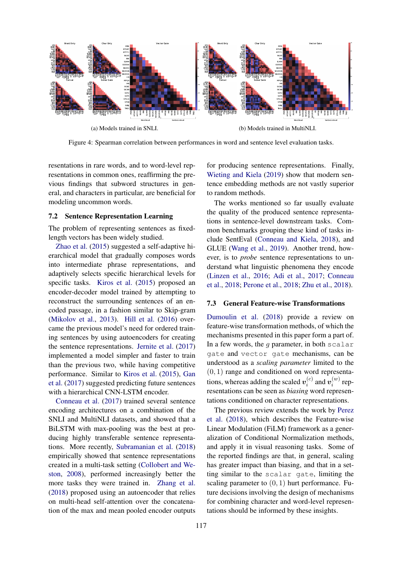<span id="page-7-0"></span>

Figure 4: Spearman correlation between performances in word and sentence level evaluation tasks.

resentations in rare words, and to word-level representations in common ones, reaffirming the previous findings that subword structures in general, and characters in particular, are beneficial for modeling uncommon words.

### 7.2 Sentence Representation Learning

The problem of representing sentences as fixedlength vectors has been widely studied.

[Zhao et al.](#page-12-6) [\(2015\)](#page-12-6) suggested a self-adaptive hierarchical model that gradually composes words into intermediate phrase representations, and adaptively selects specific hierarchical levels for specific tasks. [Kiros et al.](#page-10-7) [\(2015\)](#page-10-7) proposed an encoder-decoder model trained by attempting to reconstruct the surrounding sentences of an encoded passage, in a fashion similar to Skip-gram [\(Mikolov et al.,](#page-10-8) [2013\)](#page-10-8). [Hill et al.](#page-9-9) [\(2016\)](#page-9-9) overcame the previous model's need for ordered training sentences by using autoencoders for creating the sentence representations. [Jernite et al.](#page-10-9) [\(2017\)](#page-10-9) implemented a model simpler and faster to train than the previous two, while having competitive performance. Similar to [Kiros et al.](#page-10-7) [\(2015\)](#page-10-7), [Gan](#page-9-10) [et al.](#page-9-10) [\(2017\)](#page-9-10) suggested predicting future sentences with a hierarchical CNN-LSTM encoder.

[Conneau et al.](#page-9-3) [\(2017\)](#page-9-3) trained several sentence encoding architectures on a combination of the SNLI and MultiNLI datasets, and showed that a BiLSTM with max-pooling was the best at producing highly transferable sentence representations. More recently, [Subramanian et al.](#page-11-1) [\(2018\)](#page-11-1) empirically showed that sentence representations created in a multi-task setting [\(Collobert and We](#page-8-7)[ston,](#page-8-7) [2008\)](#page-8-7), performed increasingly better the more tasks they were trained in. [Zhang et al.](#page-12-7) [\(2018\)](#page-12-7) proposed using an autoencoder that relies on multi-head self-attention over the concatenation of the max and mean pooled encoder outputs

for producing sentence representations. Finally, [Wieting and Kiela](#page-11-5) [\(2019\)](#page-11-5) show that modern sentence embedding methods are not vastly superior to random methods.

The works mentioned so far usually evaluate the quality of the produced sentence representations in sentence-level downstream tasks. Common benchmarks grouping these kind of tasks include SentEval [\(Conneau and Kiela,](#page-9-7) [2018\)](#page-9-7), and GLUE [\(Wang et al.,](#page-11-6) [2019\)](#page-11-6). Another trend, however, is to *probe* sentence representations to understand what linguistic phenomena they encode [\(Linzen et al.,](#page-10-10) [2016;](#page-10-10) [Adi et al.,](#page-8-8) [2017;](#page-8-8) [Conneau](#page-9-11) [et al.,](#page-9-11) [2018;](#page-9-11) [Perone et al.,](#page-11-7) [2018;](#page-11-7) [Zhu et al.,](#page-12-8) [2018\)](#page-12-8).

#### 7.3 General Feature-wise Transformations

[Dumoulin et al.](#page-9-12) [\(2018\)](#page-9-12) provide a review on feature-wise transformation methods, of which the mechanisms presented in this paper form a part of. In a few words, the  $q$  parameter, in both scalar gate and vector gate mechanisms, can be understood as a *scaling parameter* limited to the  $(0, 1)$  range and conditioned on word representations, whereas adding the scaled  $v_i^{(c)}$  $v_i^{(c)}$  and  $v_i^{(w)}$  $v_i^{(w)}$  representations can be seen as *biasing* word representations conditioned on character representations.

The previous review extends the work by [Perez](#page-11-8) [et al.](#page-11-8) [\(2018\)](#page-11-8), which describes the Feature-wise Linear Modulation (FiLM) framework as a generalization of Conditional Normalization methods, and apply it in visual reasoning tasks. Some of the reported findings are that, in general, scaling has greater impact than biasing, and that in a setting similar to the scalar gate, limiting the scaling parameter to  $(0, 1)$  hurt performance. Future decisions involving the design of mechanisms for combining character and word-level representations should be informed by these insights.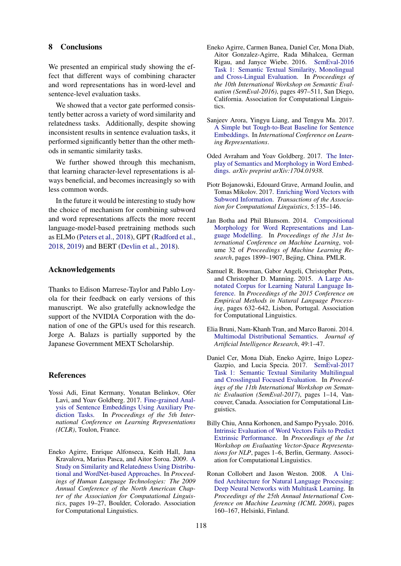### 8 Conclusions

We presented an empirical study showing the effect that different ways of combining character and word representations has in word-level and sentence-level evaluation tasks.

We showed that a vector gate performed consistently better across a variety of word similarity and relatedness tasks. Additionally, despite showing inconsistent results in sentence evaluation tasks, it performed significantly better than the other methods in semantic similarity tasks.

We further showed through this mechanism, that learning character-level representations is always beneficial, and becomes increasingly so with less common words.

In the future it would be interesting to study how the choice of mechanism for combining subword and word representations affects the more recent language-model-based pretraining methods such as ELMo [\(Peters et al.,](#page-11-9) [2018\)](#page-11-9), GPT [\(Radford et al.,](#page-11-10) [2018,](#page-11-10) [2019\)](#page-11-11) and BERT [\(Devlin et al.,](#page-9-13) [2018\)](#page-9-13).

### Acknowledgements

Thanks to Edison Marrese-Taylor and Pablo Loyola for their feedback on early versions of this manuscript. We also gratefully acknowledge the support of the NVIDIA Corporation with the donation of one of the GPUs used for this research. Jorge A. Balazs is partially supported by the Japanese Government MEXT Scholarship.

### References

- <span id="page-8-8"></span>Yossi Adi, Einat Kermany, Yonatan Belinkov, Ofer Lavi, and Yoav Goldberg. 2017. [Fine-grained Anal](https://openreview.net/pdf?id=BJh6Ztuxl)[ysis of Sentence Embeddings Using Auxiliary Pre](https://openreview.net/pdf?id=BJh6Ztuxl)[diction Tasks.](https://openreview.net/pdf?id=BJh6Ztuxl) In *Proceedings of the 5th International Conference on Learning Representations (ICLR)*, Toulon, France.
- <span id="page-8-4"></span>Eneko Agirre, Enrique Alfonseca, Keith Hall, Jana Kravalova, Marius Pasca, and Aitor Soroa. 2009. [A](http://aclweb.org/anthology/N09-1003) [Study on Similarity and Relatedness Using Distribu](http://aclweb.org/anthology/N09-1003)[tional and WordNet-based Approaches.](http://aclweb.org/anthology/N09-1003) In *Proceedings of Human Language Technologies: The 2009 Annual Conference of the North American Chapter of the Association for Computational Linguistics*, pages 19–27, Boulder, Colorado. Association for Computational Linguistics.
- <span id="page-8-10"></span>Eneko Agirre, Carmen Banea, Daniel Cer, Mona Diab, Aitor Gonzalez-Agirre, Rada Mihalcea, German Rigau, and Janyce Wiebe. 2016. [SemEval-2016](http://www.aclweb.org/anthology/S16-1081) [Task 1: Semantic Textual Similarity, Monolingual](http://www.aclweb.org/anthology/S16-1081) [and Cross-Lingual Evaluation.](http://www.aclweb.org/anthology/S16-1081) In *Proceedings of the 10th International Workshop on Semantic Evaluation (SemEval-2016)*, pages 497–511, San Diego, California. Association for Computational Linguistics.
- <span id="page-8-9"></span>Sanjeev Arora, Yingyu Liang, and Tengyu Ma. 2017. [A Simple but Tough-to-Beat Baseline for Sentence](https://openreview.net/pdf?id=SyK00v5xx) [Embeddings.](https://openreview.net/pdf?id=SyK00v5xx) In *International Conference on Learning Representations*.
- <span id="page-8-2"></span>Oded Avraham and Yoav Goldberg. 2017. [The Inter](https://arxiv.org/abs/1704.01938)[play of Semantics and Morphology in Word Embed](https://arxiv.org/abs/1704.01938)[dings.](https://arxiv.org/abs/1704.01938) *arXiv preprint arXiv:1704.01938*.
- <span id="page-8-0"></span>Piotr Bojanowski, Edouard Grave, Armand Joulin, and Tomas Mikolov. 2017. [Enriching Word Vectors with](https://transacl.org/ojs/index.php/tacl/article/view/999) [Subword Information.](https://transacl.org/ojs/index.php/tacl/article/view/999) *Transactions of the Association for Computational Linguistics*, 5:135–146.
- <span id="page-8-1"></span>Jan Botha and Phil Blunsom. 2014. [Compositional](http://proceedings.mlr.press/v32/botha14.html) [Morphology for Word Representations and Lan](http://proceedings.mlr.press/v32/botha14.html)[guage Modelling.](http://proceedings.mlr.press/v32/botha14.html) In *Proceedings of the 31st International Conference on Machine Learning*, volume 32 of *Proceedings of Machine Learning Research*, pages 1899–1907, Bejing, China. PMLR.
- <span id="page-8-3"></span>Samuel R. Bowman, Gabor Angeli, Christopher Potts, and Christopher D. Manning. 2015. [A Large An](http://aclweb.org/anthology/D15-1075)[notated Corpus for Learning Natural Language In](http://aclweb.org/anthology/D15-1075)[ference.](http://aclweb.org/anthology/D15-1075) In *Proceedings of the 2015 Conference on Empirical Methods in Natural Language Processing*, pages 632–642, Lisbon, Portugal. Association for Computational Linguistics.
- <span id="page-8-5"></span>Elia Bruni, Nam-Khanh Tran, and Marco Baroni. 2014. [Multimodal Distributional Semantics.](https://www.jair.org/index.php/jair/article/view/10857/25905) *Journal of Artificial Intelligence Research*, 49:1–47.
- <span id="page-8-11"></span>Daniel Cer, Mona Diab, Eneko Agirre, Inigo Lopez-Gazpio, and Lucia Specia. 2017. [SemEval-2017](https://doi.org/10.18653/v1/S17-2001) [Task 1: Semantic Textual Similarity Multilingual](https://doi.org/10.18653/v1/S17-2001) [and Crosslingual Focused Evaluation.](https://doi.org/10.18653/v1/S17-2001) In *Proceedings of the 11th International Workshop on Semantic Evaluation (SemEval-2017)*, pages 1–14, Vancouver, Canada. Association for Computational Linguistics.
- <span id="page-8-6"></span>Billy Chiu, Anna Korhonen, and Sampo Pyysalo. 2016. [Intrinsic Evaluation of Word Vectors Fails to Predict](http://anthology.aclweb.org/W16-2501) [Extrinsic Performance.](http://anthology.aclweb.org/W16-2501) In *Proceedings of the 1st Workshop on Evaluating Vector-Space Representations for NLP*, pages 1–6, Berlin, Germany. Association for Computational Linguistics.
- <span id="page-8-7"></span>Ronan Collobert and Jason Weston. 2008. [A Uni](https://icml.cc/Conferences/2008/papers/391.pdf)[fied Architecture for Natural Language Processing:](https://icml.cc/Conferences/2008/papers/391.pdf) [Deep Neural Networks with Multitask Learning.](https://icml.cc/Conferences/2008/papers/391.pdf) In *Proceedings of the 25th Annual International Conference on Machine Learning (ICML 2008)*, pages 160–167, Helsinki, Finland.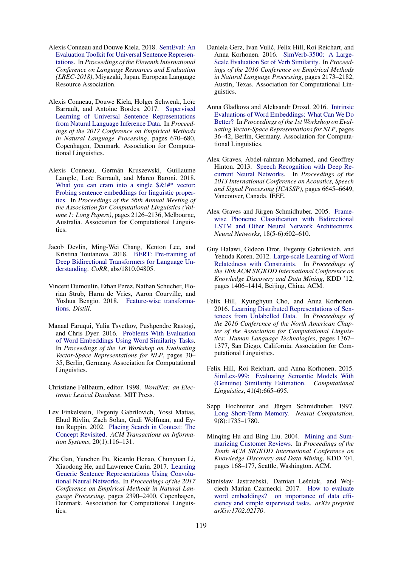- <span id="page-9-7"></span>Alexis Conneau and Douwe Kiela. 2018. [SentEval: An](http://aclweb.org/anthology/L18-1269) [Evaluation Toolkit for Universal Sentence Represen](http://aclweb.org/anthology/L18-1269)[tations.](http://aclweb.org/anthology/L18-1269) In *Proceedings of the Eleventh International Conference on Language Resources and Evaluation (LREC-2018)*, Miyazaki, Japan. European Language Resource Association.
- <span id="page-9-3"></span>Alexis Conneau, Douwe Kiela, Holger Schwenk, Loïc Barrault, and Antoine Bordes. 2017. [Supervised](https://www.aclweb.org/anthology/D17-1070) [Learning of Universal Sentence Representations](https://www.aclweb.org/anthology/D17-1070) [from Natural Language Inference Data.](https://www.aclweb.org/anthology/D17-1070) In *Proceedings of the 2017 Conference on Empirical Methods in Natural Language Processing*, pages 670–680, Copenhagen, Denmark. Association for Computational Linguistics.
- <span id="page-9-11"></span>Alexis Conneau, Germán Kruszewski, Guillaume Lample, Loïc Barrault, and Marco Baroni. 2018. What you can cram into a single  $\&$ !#\* vector: [Probing sentence embeddings for linguistic proper](https://www.aclweb.org/anthology/P18-1198)[ties.](https://www.aclweb.org/anthology/P18-1198) In *Proceedings of the 56th Annual Meeting of the Association for Computational Linguistics (Volume 1: Long Papers)*, pages 2126–2136, Melbourne, Australia. Association for Computational Linguistics.
- <span id="page-9-13"></span>Jacob Devlin, Ming-Wei Chang, Kenton Lee, and Kristina Toutanova. 2018. [BERT: Pre-training of](http://arxiv.org/abs/1810.04805) [Deep Bidirectional Transformers for Language Un](http://arxiv.org/abs/1810.04805)[derstanding.](http://arxiv.org/abs/1810.04805) *CoRR*, abs/1810.04805.
- <span id="page-9-12"></span>Vincent Dumoulin, Ethan Perez, Nathan Schucher, Florian Strub, Harm de Vries, Aaron Courville, and Yoshua Bengio. 2018. [Feature-wise transforma](https://doi.org/undefined)[tions.](https://doi.org/undefined) *Distill*.
- <span id="page-9-5"></span>Manaal Faruqui, Yulia Tsvetkov, Pushpendre Rastogi, and Chris Dyer. 2016. [Problems With Evaluation](http://anthology.aclweb.org/W16-2506) [of Word Embeddings Using Word Similarity Tasks.](http://anthology.aclweb.org/W16-2506) In *Proceedings of the 1st Workshop on Evaluating Vector-Space Representations for NLP*, pages 30– 35, Berlin, Germany. Association for Computational Linguistics.
- <span id="page-9-17"></span>Christiane Fellbaum, editor. 1998. *WordNet: an Electronic Lexical Database*. MIT Press.
- <span id="page-9-16"></span>Lev Finkelstein, Evgeniy Gabrilovich, Yossi Matias, Ehud Rivlin, Zach Solan, Gadi Wolfman, and Eytan Ruppin. 2002. [Placing Search in Context: The](https://doi.org/10.1145/503104.503110) [Concept Revisited.](https://doi.org/10.1145/503104.503110) *ACM Transactions on Information Systems*, 20(1):116–131.
- <span id="page-9-10"></span>Zhe Gan, Yunchen Pu, Ricardo Henao, Chunyuan Li, Xiaodong He, and Lawrence Carin. 2017. [Learning](https://doi.org/10.18653/v1/D17-1254) [Generic Sentence Representations Using Convolu](https://doi.org/10.18653/v1/D17-1254)[tional Neural Networks.](https://doi.org/10.18653/v1/D17-1254) In *Proceedings of the 2017 Conference on Empirical Methods in Natural Language Processing*, pages 2390–2400, Copenhagen, Denmark. Association for Computational Linguistics.
- <span id="page-9-15"></span>Daniela Gerz, Ivan Vulic, Felix Hill, Roi Reichart, and ´ Anna Korhonen. 2016. [SimVerb-3500: A Large-](https://aclweb.org/anthology/D16-1235)[Scale Evaluation Set of Verb Similarity.](https://aclweb.org/anthology/D16-1235) In *Proceedings of the 2016 Conference on Empirical Methods in Natural Language Processing*, pages 2173–2182, Austin, Texas. Association for Computational Linguistics.
- <span id="page-9-8"></span>Anna Gladkova and Aleksandr Drozd. 2016. [Intrinsic](http://anthology.aclweb.org/W16-2507) [Evaluations of Word Embeddings: What Can We Do](http://anthology.aclweb.org/W16-2507) [Better?](http://anthology.aclweb.org/W16-2507) In *Proceedings of the 1st Workshop on Evaluating Vector-Space Representations for NLP*, pages 36–42, Berlin, Germany. Association for Computational Linguistics.
- <span id="page-9-1"></span>Alex Graves, Abdel-rahman Mohamed, and Geoffrey Hinton. 2013. [Speech Recognition with Deep Re](https://ieeexplore.ieee.org/document/6638947/)[current Neural Networks.](https://ieeexplore.ieee.org/document/6638947/) In *Proceedings of the 2013 International Conference on Acoustics, Speech and Signal Processing (ICASSP)*, pages 6645–6649, Vancouver, Canada. IEEE.
- <span id="page-9-0"></span>Alex Graves and Jürgen Schmidhuber. 2005. [Frame](https://www.sciencedirect.com/science/article/pii/S0893608005001206)[wise Phoneme Classification with Bidirectional](https://www.sciencedirect.com/science/article/pii/S0893608005001206) [LSTM and Other Neural Network Architectures.](https://www.sciencedirect.com/science/article/pii/S0893608005001206) *Neural Networks*, 18(5-6):602–610.
- <span id="page-9-14"></span>Guy Halawi, Gideon Dror, Evgeniy Gabrilovich, and Yehuda Koren. 2012. [Large-scale Learning of Word](https://doi.org/10.1145/2339530.2339751) [Relatedness with Constraints.](https://doi.org/10.1145/2339530.2339751) In *Proceedings of the 18th ACM SIGKDD International Conference on Knowledge Discovery and Data Mining*, KDD '12, pages 1406–1414, Beijing, China. ACM.
- <span id="page-9-9"></span>Felix Hill, Kyunghyun Cho, and Anna Korhonen. 2016. [Learning Distributed Representations of Sen](https://doi.org/10.18653/v1/N16-1162)[tences from Unlabelled Data.](https://doi.org/10.18653/v1/N16-1162) In *Proceedings of the 2016 Conference of the North American Chapter of the Association for Computational Linguistics: Human Language Technologies*, pages 1367– 1377, San Diego, California. Association for Computational Linguistics.
- <span id="page-9-6"></span>Felix Hill, Roi Reichart, and Anna Korhonen. 2015. [SimLex-999: Evaluating Semantic Models With](https://doi.org/10.1162/COLI_a_00237) [\(Genuine\) Similarity Estimation.](https://doi.org/10.1162/COLI_a_00237) *Computational Linguistics*, 41(4):665–695.
- <span id="page-9-2"></span>Sepp Hochreiter and Jürgen Schmidhuber. 1997. [Long Short-Term Memory.](https://doi.org/10.1162/neco.1997.9.8.1735) *Neural Computation*, 9(8):1735–1780.
- <span id="page-9-18"></span>Minqing Hu and Bing Liu. 2004. [Mining and Sum](https://doi.org/10.1145/1014052.1014073)[marizing Customer Reviews.](https://doi.org/10.1145/1014052.1014073) In *Proceedings of the Tenth ACM SIGKDD International Conference on Knowledge Discovery and Data Mining*, KDD '04, pages 168–177, Seattle, Washington. ACM.
- <span id="page-9-4"></span>Stanisław Jastrzebski, Damian Leśniak, and Wojciech Marian Czarnecki. 2017. [How to evaluate](https://arxiv.org/abs/1702.02170) [word embeddings? on importance of data effi](https://arxiv.org/abs/1702.02170)[ciency and simple supervised tasks.](https://arxiv.org/abs/1702.02170) *arXiv preprint arXiv:1702.02170*.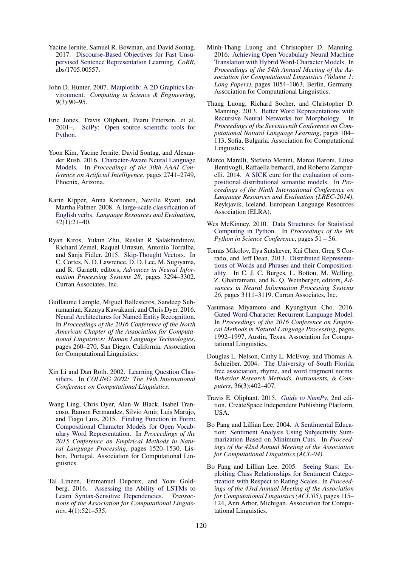- <span id="page-10-9"></span>Yacine Jernite, Samuel R. Bowman, and David Sontag. 2017. [Discourse-Based Objectives for Fast Unsu](http://arxiv.org/abs/1705.00557)[pervised Sentence Representation Learning.](http://arxiv.org/abs/1705.00557) *CoRR*, abs/1705.00557.
- John D. Hunter. 2007. [Matplotlib: A 2D Graphics En](https://doi.org/10.1109/MCSE.2007.55)[vironment.](https://doi.org/10.1109/MCSE.2007.55) *Computing in Science & Engineering*, 9(3):90–95.
- Eric Jones, Travis Oliphant, Pearu Peterson, et al. 2001–. [SciPy: Open source scientific tools for](http://www.scipy.org/) [Python.](http://www.scipy.org/)
- <span id="page-10-4"></span>Yoon Kim, Yacine Jernite, David Sontag, and Alexander Rush. 2016. [Character-Aware Neural Language](https://www.aaai.org/ocs/index.php/AAAI/AAAI16/paper/view/12489/12017) [Models.](https://www.aaai.org/ocs/index.php/AAAI/AAAI16/paper/view/12489/12017) In *Proceedings of the 30th AAAI Conference on Artificial Intelligence*, pages 2741–2749, Phoenix, Arizona.
- <span id="page-10-12"></span>Karin Kipper, Anna Korhonen, Neville Ryant, and Martha Palmer. 2008. [A large-scale classification of](https://doi.org/10.1007/s10579-007-9048-2) [English verbs.](https://doi.org/10.1007/s10579-007-9048-2) *Language Resources and Evaluation*, 42(1):21–40.
- <span id="page-10-7"></span>Ryan Kiros, Yukun Zhu, Ruslan R Salakhutdinov, Richard Zemel, Raquel Urtasun, Antonio Torralba, and Sanja Fidler. 2015. [Skip-Thought Vectors.](http://papers.nips.cc/paper/5950-skip-thought-vectors.pdf) In C. Cortes, N. D. Lawrence, D. D. Lee, M. Sugiyama, and R. Garnett, editors, *Advances in Neural Information Processing Systems 28*, pages 3294–3302. Curran Associates, Inc.
- <span id="page-10-2"></span>Guillaume Lample, Miguel Ballesteros, Sandeep Subramanian, Kazuya Kawakami, and Chris Dyer. 2016. [Neural Architectures for Named Entity Recognition.](https://doi.org/10.18653/v1/N16-1030) In *Proceedings of the 2016 Conference of the North American Chapter of the Association for Computational Linguistics: Human Language Technologies*, pages 260–270, San Diego, California. Association for Computational Linguistics.
- <span id="page-10-15"></span>Xin Li and Dan Roth. 2002. [Learning Question Clas](http://aclweb.org/anthology/C02-1150)[sifiers.](http://aclweb.org/anthology/C02-1150) In *COLING 2002: The 19th International Conference on Computational Linguistics*.
- <span id="page-10-1"></span>Wang Ling, Chris Dyer, Alan W Black, Isabel Trancoso, Ramon Fermandez, Silvio Amir, Luis Marujo, and Tiago Luis. 2015. [Finding Function in Form:](http://aclweb.org/anthology/D15-1176) [Compositional Character Models for Open Vocab](http://aclweb.org/anthology/D15-1176)[ulary Word Representation.](http://aclweb.org/anthology/D15-1176) In *Proceedings of the 2015 Conference on Empirical Methods in Natural Language Processing*, pages 1520–1530, Lisbon, Portugal. Association for Computational Linguistics.
- <span id="page-10-10"></span>Tal Linzen, Emmanuel Dupoux, and Yoav Goldberg. 2016. [Assessing the Ability of LSTMs to](https://www.aclweb.org/anthology/Q16-1037) [Learn Syntax-Sensitive Dependencies.](https://www.aclweb.org/anthology/Q16-1037) *Transactions of the Association for Computational Linguistics*, 4(1):521–535.
- <span id="page-10-0"></span>Minh-Thang Luong and Christopher D. Manning. 2016. [Achieving Open Vocabulary Neural Machine](http://www.aclweb.org/anthology/P16-1100) [Translation with Hybrid Word-Character Models.](http://www.aclweb.org/anthology/P16-1100) In *Proceedings of the 54th Annual Meeting of the Association for Computational Linguistics (Volume 1: Long Papers)*, pages 1054–1063, Berlin, Germany. Association for Computational Linguistics.
- <span id="page-10-5"></span>Thang Luong, Richard Socher, and Christopher D. Manning. 2013. [Better Word Representations with](http://www.aclweb.org/anthology/W13-3512) [Recursive Neural Networks for Morphology.](http://www.aclweb.org/anthology/W13-3512) In *Proceedings of the Seventeenth Conference on Computational Natural Language Learning*, pages 104– 113, Sofia, Bulgaria. Association for Computational Linguistics.
- <span id="page-10-6"></span>Marco Marelli, Stefano Menini, Marco Baroni, Luisa Bentivogli, Raffaella bernardi, and Roberto Zamparelli. 2014. [A SICK cure for the evaluation of com](http://www.lrec-conf.org/proceedings/lrec2014/pdf/363_Paper.pdf)[positional distributional semantic models.](http://www.lrec-conf.org/proceedings/lrec2014/pdf/363_Paper.pdf) In *Proceedings of the Ninth International Conference on Language Resources and Evaluation (LREC-2014)*, Reykjavik, Iceland. European Language Resources Association (ELRA).
- Wes McKinney. 2010. [Data Structures for Statistical](https://conference.scipy.org/proceedings/scipy2010/pdfs/mckinney.pdf) [Computing in Python.](https://conference.scipy.org/proceedings/scipy2010/pdfs/mckinney.pdf) In *Proceedings of the 9th Python in Science Conference*, pages 51 – 56.
- <span id="page-10-8"></span>Tomas Mikolov, Ilya Sutskever, Kai Chen, Greg S Corrado, and Jeff Dean. 2013. [Distributed Representa](http://papers.nips.cc/paper/5021-distributed-representations-of-words-and-phrases-and-their-compositionality.pdf)[tions of Words and Phrases and their Composition](http://papers.nips.cc/paper/5021-distributed-representations-of-words-and-phrases-and-their-compositionality.pdf)[ality.](http://papers.nips.cc/paper/5021-distributed-representations-of-words-and-phrases-and-their-compositionality.pdf) In C. J. C. Burges, L. Bottou, M. Welling, Z. Ghahramani, and K. Q. Weinberger, editors, *Advances in Neural Information Processing Systems 26*, pages 3111–3119. Curran Associates, Inc.
- <span id="page-10-3"></span>Yasumasa Miyamoto and Kyunghyun Cho. 2016. [Gated Word-Character Recurrent Language Model.](https://aclweb.org/anthology/D16-1209) In *Proceedings of the 2016 Conference on Empirical Methods in Natural Language Processing*, pages 1992–1997, Austin, Texas. Association for Computational Linguistics.
- <span id="page-10-11"></span>Douglas L. Nelson, Cathy L. McEvoy, and Thomas A. Schreiber. 2004. [The University of South Florida](https://doi.org/10.3758/BF03195588) [free association, rhyme, and word fragment norms.](https://doi.org/10.3758/BF03195588) *Behavior Research Methods, Instruments, & Computers*, 36(3):402–407.
- Travis E. Oliphant. 2015. *[Guide to NumPy](http://web.mit.edu/dvp/Public/numpybook.pdf)*, 2nd edition. CreateSpace Independent Publishing Platform, USA.
- <span id="page-10-14"></span>Bo Pang and Lillian Lee. 2004. [A Sentimental Educa](http://aclweb.org/anthology/P04-1035)[tion: Sentiment Analysis Using Subjectivity Sum](http://aclweb.org/anthology/P04-1035)[marization Based on Minimum Cuts.](http://aclweb.org/anthology/P04-1035) In *Proceedings of the 42nd Annual Meeting of the Association for Computational Linguistics (ACL-04)*.
- <span id="page-10-13"></span>Bo Pang and Lillian Lee. 2005. [Seeing Stars: Ex](http://aclweb.org/anthology/P05-1015)[ploiting Class Relationships for Sentiment Catego](http://aclweb.org/anthology/P05-1015)[rization with Respect to Rating Scales.](http://aclweb.org/anthology/P05-1015) In *Proceedings of the 43rd Annual Meeting of the Association for Computational Linguistics (ACL'05)*, pages 115– 124, Ann Arbor, Michigan. Association for Computational Linguistics.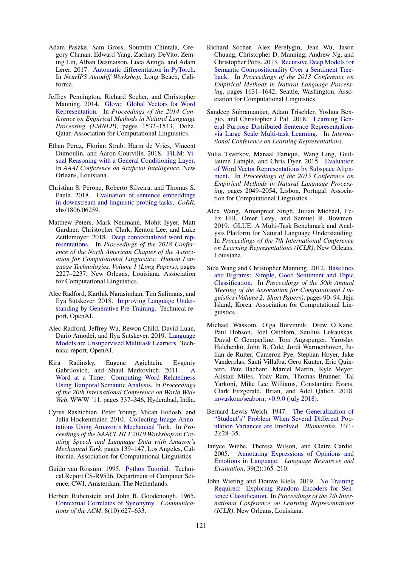- Adam Paszke, Sam Gross, Soumith Chintala, Gregory Chanan, Edward Yang, Zachary DeVito, Zeming Lin, Alban Desmaison, Luca Antiga, and Adam Lerer. 2017. [Automatic differentiation in PyTorch.](https://openreview.net/pdf?id=BJJsrmfCZ) In *NeurIPS Autodiff Workshop*, Long Beach, California.
- <span id="page-11-0"></span>Jeffrey Pennington, Richard Socher, and Christopher Manning. 2014. [Glove: Global Vectors for Word](https://doi.org/10.3115/v1/D14-1162) [Representation.](https://doi.org/10.3115/v1/D14-1162) In *Proceedings of the 2014 Conference on Empirical Methods in Natural Language Processing (EMNLP)*, pages 1532–1543, Doha, Qatar. Association for Computational Linguistics.
- <span id="page-11-8"></span>Ethan Perez, Florian Strub, Harm de Vries, Vincent Dumoulin, and Aaron Courville. 2018. [FiLM: Vi](https://www.aaai.org/ocs/index.php/AAAI/AAAI18/paper/view/16528)[sual Reasoning with a General Conditioning Layer.](https://www.aaai.org/ocs/index.php/AAAI/AAAI18/paper/view/16528) In *AAAI Conference on Artificial Intelligence*, New Orleans, Louisiana.
- <span id="page-11-7"></span>Christian S. Perone, Roberto Silveira, and Thomas S. Paula. 2018. [Evaluation of sentence embeddings](http://arxiv.org/abs/1806.06259) [in downstream and linguistic probing tasks.](http://arxiv.org/abs/1806.06259) *CoRR*, abs/1806.06259.
- <span id="page-11-9"></span>Matthew Peters, Mark Neumann, Mohit Iyyer, Matt Gardner, Christopher Clark, Kenton Lee, and Luke Zettlemoyer. 2018. [Deep contextualized word rep](https://doi.org/10.18653/v1/N18-1202)[resentations.](https://doi.org/10.18653/v1/N18-1202) In *Proceedings of the 2018 Conference of the North American Chapter of the Association for Computational Linguistics: Human Language Technologies, Volume 1 (Long Papers)*, pages 2227–2237, New Orleans, Louisiana. Association for Computational Linguistics.
- <span id="page-11-10"></span>Alec Radford, Karthik Narasimhan, Tim Salimans, and Ilya Sutskever. 2018. [Improving Language Under](https://s3-us-west-2.amazonaws.com/openai-assets/research-covers/language-unsupervised/language_understanding_paper.pdf)[standing by Generative Pre-Training.](https://s3-us-west-2.amazonaws.com/openai-assets/research-covers/language-unsupervised/language_understanding_paper.pdf) Technical report, OpenAI.
- <span id="page-11-11"></span>Alec Radford, Jeffrey Wu, Rewon Child, David Luan, Dario Amodei, and Ilya Sutskever. 2019. [Language](https://d4mucfpksywv.cloudfront.net/better-language-models/language-models.pdf) [Models are Unsupervised Multitask Learners.](https://d4mucfpksywv.cloudfront.net/better-language-models/language-models.pdf) Technical report, OpenAI.
- <span id="page-11-12"></span>Kira Radinsky, Eugene Agichtein, Evgeniy Gabrilovich, and Shaul Markovitch. 2011. [A](http://wwwconference.org/proceedings/www2011/proceedings/p337.pdf) [Word at a Time: Computing Word Relatedness](http://wwwconference.org/proceedings/www2011/proceedings/p337.pdf) [Using Temporal Semantic Analysis.](http://wwwconference.org/proceedings/www2011/proceedings/p337.pdf) In *Proceedings of the 20th International Conference on World Wide Web*, WWW '11, pages 337–346, Hyderabad, India.
- <span id="page-11-3"></span>Cyrus Rashtchian, Peter Young, Micah Hodosh, and Julia Hockenmaier. 2010. [Collecting Image Anno](http://www.aclweb.org/anthology/W10-0721)[tations Using Amazon's Mechanical Turk.](http://www.aclweb.org/anthology/W10-0721) In *Proceedings of the NAACL HLT 2010 Workshop on Creating Speech and Language Data with Amazon's Mechanical Turk*, pages 139–147, Los Angeles, California. Association for Computational Linguistics.
- Guido van Rossum. 1995. [Python Tutorial.](https://ir.cwi.nl/pub/5007) Technical Report CS-R9526, Department of Computer Science, CWI, Amsterdam, The Netherlands.
- <span id="page-11-13"></span>Herbert Rubenstein and John B. Goodenough. 1965. [Contextual Correlates of Synonymy.](https://doi.org/10.1145/365628.365657) *Communications of the ACM*, 8(10):627–633.
- <span id="page-11-15"></span>Richard Socher, Alex Perelygin, Jean Wu, Jason Chuang, Christopher D. Manning, Andrew Ng, and Christopher Potts. 2013. [Recursive Deep Models for](http://aclweb.org/anthology/D13-1170) [Semantic Compositionality Over a Sentiment Tree](http://aclweb.org/anthology/D13-1170)[bank.](http://aclweb.org/anthology/D13-1170) In *Proceedings of the 2013 Conference on Empirical Methods in Natural Language Processing*, pages 1631–1642, Seattle, Washington. Association for Computational Linguistics.
- <span id="page-11-1"></span>Sandeep Subramanian, Adam Trischler, Yoshua Bengio, and Christopher J Pal. 2018. [Learning Gen](https://openreview.net/pdf?id=B18WgG-CZ)[eral Purpose Distributed Sentence Representations](https://openreview.net/pdf?id=B18WgG-CZ) [via Large Scale Multi-task Learning.](https://openreview.net/pdf?id=B18WgG-CZ) In *International Conference on Learning Representations*.
- <span id="page-11-4"></span>Yulia Tsvetkov, Manaal Faruqui, Wang Ling, Guillaume Lample, and Chris Dyer. 2015. [Evaluation](http://aclweb.org/anthology/D15-1243) [of Word Vector Representations by Subspace Align](http://aclweb.org/anthology/D15-1243)[ment.](http://aclweb.org/anthology/D15-1243) In *Proceedings of the 2015 Conference on Empirical Methods in Natural Language Processing*, pages 2049–2054, Lisbon, Portugal. Association for Computational Linguistics.
- <span id="page-11-6"></span>Alex Wang, Amanpreet Singh, Julian Michael, Felix Hill, Omer Levy, and Samuel R. Bowman. 2019. GLUE: A Multi-Task Benchmark and Analysis Platform for Natural Language Understanding. In *Proceedings of the 7th International Conference on Learning Representations (ICLR)*, New Orleans, Louisiana.
- <span id="page-11-14"></span>Sida Wang and Christopher Manning. 2012. [Baselines](http://aclweb.org/anthology/P12-2018) [and Bigrams: Simple, Good Sentiment and Topic](http://aclweb.org/anthology/P12-2018) [Classification.](http://aclweb.org/anthology/P12-2018) In *Proceedings of the 50th Annual Meeting of the Association for Computational Linguistics (Volume 2: Short Papers)*, pages 90–94, Jeju Island, Korea. Association for Computational Linguistics.
- Michael Waskom, Olga Botvinnik, Drew O'Kane, Paul Hobson, Joel Ostblom, Saulius Lukauskas, David C Gemperline, Tom Augspurger, Yaroslav Halchenko, John B. Cole, Jordi Warmenhoven, Julian de Ruiter, Cameron Pye, Stephan Hoyer, Jake Vanderplas, Santi Villalba, Gero Kunter, Eric Quintero, Pete Bachant, Marcel Martin, Kyle Meyer, Alistair Miles, Yoav Ram, Thomas Brunner, Tal Yarkoni, Mike Lee Williams, Constantine Evans, Clark Fitzgerald, Brian, and Adel Qalieh. 2018. [mwaskom/seaborn: v0.9.0 \(july 2018\).](https://doi.org/10.5281/zenodo.1313201)
- <span id="page-11-2"></span>Bernard Lewis Welch. 1947. [The Generalization of](https://doi.org/10.1093/biomet/34.1-2.28) ["Student's" Problem When Several Different Pop](https://doi.org/10.1093/biomet/34.1-2.28)[ulation Variances are Involved.](https://doi.org/10.1093/biomet/34.1-2.28) *Biometrika*, 34(1- 2):28–35.
- <span id="page-11-16"></span>Janyce Wiebe, Theresa Wilson, and Claire Cardie. 2005. [Annotating Expressions of Opinions and](https://doi.org/10.1007/s10579-005-7880-9) [Emotions in Language.](https://doi.org/10.1007/s10579-005-7880-9) *Language Resources and Evaluation*, 39(2):165–210.
- <span id="page-11-5"></span>John Wieting and Douwe Kiela. 2019. [No Training](https://openreview.net/pdf?id=BkgPajAcY7) [Required: Exploring Random Encoders for Sen](https://openreview.net/pdf?id=BkgPajAcY7)[tence Classification.](https://openreview.net/pdf?id=BkgPajAcY7) In *Proceedings of the 7th International Conference on Learning Representations (ICLR)*, New Orleans, Louisiana.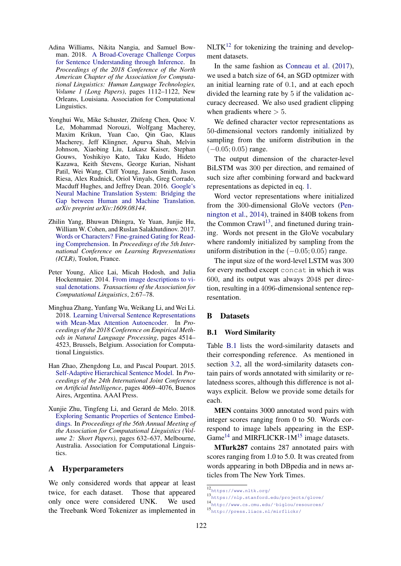- <span id="page-12-3"></span>Adina Williams, Nikita Nangia, and Samuel Bowman. 2018. [A Broad-Coverage Challenge Corpus](http://www.aclweb.org/anthology/N18-1101) [for Sentence Understanding through Inference.](http://www.aclweb.org/anthology/N18-1101) In *Proceedings of the 2018 Conference of the North American Chapter of the Association for Computational Linguistics: Human Language Technologies, Volume 1 (Long Papers)*, pages 1112–1122, New Orleans, Louisiana. Association for Computational Linguistics.
- <span id="page-12-0"></span>Yonghui Wu, Mike Schuster, Zhifeng Chen, Quoc V. Le, Mohammad Norouzi, Wolfgang Macherey, Maxim Krikun, Yuan Cao, Qin Gao, Klaus Macherey, Jeff Klingner, Apurva Shah, Melvin Johnson, Xiaobing Liu, Lukasz Kaiser, Stephan Gouws, Yoshikiyo Kato, Taku Kudo, Hideto Kazawa, Keith Stevens, George Kurian, Nishant Patil, Wei Wang, Cliff Young, Jason Smith, Jason Riesa, Alex Rudnick, Oriol Vinyals, Greg Corrado, Macduff Hughes, and Jeffrey Dean. 2016. [Google's](http://arxiv.org/abs/1609.08144) [Neural Machine Translation System: Bridging the](http://arxiv.org/abs/1609.08144) [Gap between Human and Machine Translation.](http://arxiv.org/abs/1609.08144) *arXiv preprint arXiv:1609.08144*.
- <span id="page-12-1"></span>Zhilin Yang, Bhuwan Dhingra, Ye Yuan, Junjie Hu, William W. Cohen, and Ruslan Salakhutdinov. 2017. [Words or Characters? Fine-grained Gating for Read](https://openreview.net/pdf?id=B1hdzd5lg)[ing Comprehension.](https://openreview.net/pdf?id=B1hdzd5lg) In *Proceedings of the 5th International Conference on Learning Representations (ICLR)*, Toulon, France.
- <span id="page-12-5"></span>Peter Young, Alice Lai, Micah Hodosh, and Julia Hockenmaier. 2014. [From image descriptions to vi](http://aclweb.org/anthology/Q14-1006)[sual denotations.](http://aclweb.org/anthology/Q14-1006) *Transactions of the Association for Computational Linguistics*, 2:67–78.
- <span id="page-12-7"></span>Minghua Zhang, Yunfang Wu, Weikang Li, and Wei Li. 2018. [Learning Universal Sentence Representations](http://aclweb.org/anthology/D18-1481) [with Mean-Max Attention Autoencoder.](http://aclweb.org/anthology/D18-1481) In *Proceedings of the 2018 Conference on Empirical Methods in Natural Language Processing*, pages 4514– 4523, Brussels, Belgium. Association for Computational Linguistics.
- <span id="page-12-6"></span>Han Zhao, Zhengdong Lu, and Pascal Poupart. 2015. [Self-Adaptive Hierarchical Sentence Model.](https://www.aaai.org/ocs/index.php/IJCAI/IJCAI15/paper/view/10828) In *Proceedings of the 24th International Joint Conference on Artificial Intelligence*, pages 4069–4076, Buenos Aires, Argentina. AAAI Press.
- <span id="page-12-8"></span>Xunjie Zhu, Tingfeng Li, and Gerard de Melo. 2018. [Exploring Semantic Properties of Sentence Embed](https://www.aclweb.org/anthology/P18-2100)[dings.](https://www.aclweb.org/anthology/P18-2100) In *Proceedings of the 56th Annual Meeting of the Association for Computational Linguistics (Volume 2: Short Papers)*, pages 632–637, Melbourne, Australia. Association for Computational Linguistics.

# <span id="page-12-2"></span>A Hyperparameters

We only considered words that appear at least twice, for each dataset. Those that appeared only once were considered UNK. We used the Treebank Word Tokenizer as implemented in  $NLTK^{12}$  $NLTK^{12}$  $NLTK^{12}$  for tokenizing the training and development datasets.

In the same fashion as [Conneau et al.](#page-9-3) [\(2017\)](#page-9-3), we used a batch size of 64, an SGD optmizer with an initial learning rate of 0.1, and at each epoch divided the learning rate by 5 if the validation accuracy decreased. We also used gradient clipping when gradients where  $> 5$ .

We defined character vector representations as 50-dimensional vectors randomly initialized by sampling from the uniform distribution in the  $(-0.05; 0.05)$  range.

The output dimension of the character-level BiLSTM was 300 per direction, and remained of such size after combining forward and backward representations as depicted in eq. [1.](#page-2-4)

Word vector representations where initialized from the 300-dimensional GloVe vectors [\(Pen](#page-11-0)[nington et al.,](#page-11-0) [2014\)](#page-11-0), trained in 840B tokens from the Common Crawl<sup>[13](#page-0-0)</sup>, and finetuned during training. Words not present in the GloVe vocabulary where randomly initialized by sampling from the uniform distribution in the  $(-0.05; 0.05)$  range.

The input size of the word-level LSTM was 300 for every method except concat in which it was 600, and its output was always 2048 per direction, resulting in a 4096-dimensional sentence representation.

# <span id="page-12-4"></span>B Datasets

### B.1 Word Similarity

Table [B.1](#page-13-0) lists the word-similarity datasets and their corresponding reference. As mentioned in section [3.2,](#page-3-1) all the word-similarity datasets contain pairs of words annotated with similarity or relatedness scores, although this difference is not always explicit. Below we provide some details for each.

MEN contains 3000 annotated word pairs with integer scores ranging from 0 to 50. Words correspond to image labels appearing in the ESP-Game<sup>[14](#page-0-0)</sup> and MIRFLICKR-1 $M<sup>15</sup>$  $M<sup>15</sup>$  $M<sup>15</sup>$  image datasets.

MTurk287 contains 287 annotated pairs with scores ranging from 1.0 to 5.0. It was created from words appearing in both DBpedia and in news articles from The New York Times.

<sup>12</sup><https://www.nltk.org/>

<sup>13</sup><https://nlp.stanford.edu/projects/glove/>

<sup>14</sup>[http://www.cs.cmu.edu/˜biglou/resources/](http://www.cs.cmu.edu/~biglou/resources/)

<sup>15</sup><http://press.liacs.nl/mirflickr/>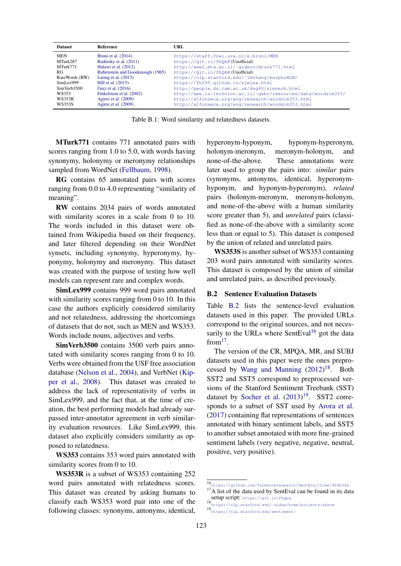<span id="page-13-0"></span>

| <b>Dataset</b> | Reference                        | URL.                                                          |
|----------------|----------------------------------|---------------------------------------------------------------|
| <b>MEN</b>     | Bruni et al. $(2014)$            | https://staff.fnwi.uva.nl/e.bruni/MEN                         |
| MTurk287       | Radinsky et al. (2011)           | https://qit.io/fhQA8(Unofficial)                              |
| MTurk771       | Halawi et al. (2012)             | http://www2.mta.ac.il/~gideon/mturk771.html                   |
| RG             | Rubenstein and Goodenough (1965) | https://git.io/fhQAB(Unofficial)                              |
| RareWords (RW) | Luong et al. $(2013)$            | https://nlp.stanford.edu/~lmthang/morphoNLM/                  |
| SimLex999      | Hill et al. (2015)               | https://fh295.github.io/simlex.html                           |
| SimVerb3500    | Gerz et al. (2016)               | http://people.ds.cam.ac.uk/dsq40/simverb.html                 |
| WS353          | Finkelstein et al. (2002)        | http://www.cs.technion.ac.il/~qabr/resources/data/wordsim353/ |
| <b>WS353R</b>  | Agire et al. $(2009)$            | http://alfonseca.org/eng/research/wordsim353.html             |
| WS353S         | Agire et al. $(2009)$            | http://alfonseca.org/eng/research/wordsim353.html             |

Table B.1: Word similarity and relatedness datasets.

MTurk771 contains 771 annotated pairs with scores ranging from 1.0 to 5.0, with words having synonymy, holonymy or meronymy relationships sampled from WordNet [\(Fellbaum,](#page-9-17) [1998\)](#page-9-17).

RG contains 65 annotated pairs with scores ranging from 0.0 to 4.0 representing "similarity of meaning".

RW contains 2034 pairs of words annotated with similarity scores in a scale from 0 to 10. The words included in this dataset were obtained from Wikipedia based on their frequency, and later filtered depending on their WordNet synsets, including synonymy, hyperonymy, hyponymy, holonymy and meronymy. This dataset was created with the purpose of testing how well models can represent rare and complex words.

SimLex999 contains 999 word pairs annotated with similarity scores ranging from 0 to 10. In this case the authors explicitly considered similarity and not relatedness, addressing the shortcomings of datasets that do not, such as MEN and WS353. Words include nouns, adjectives and verbs.

SimVerb3500 contains 3500 verb pairs annotated with similarity scores ranging from 0 to 10. Verbs were obtained from the USF free association database [\(Nelson et al.,](#page-10-11) [2004\)](#page-10-11), and VerbNet [\(Kip](#page-10-12)[per et al.,](#page-10-12) [2008\)](#page-10-12). This dataset was created to address the lack of representativity of verbs in SimLex999, and the fact that, at the time of creation, the best performing models had already surpassed inter-annotator agreement in verb similarity evaluation resources. Like SimLex999, this dataset also explicitly considers similarity as opposed to relatedness.

WS353 contains 353 word pairs annotated with similarity scores from 0 to 10.

WS353R is a subset of WS353 containing 252 word pairs annotated with relatedness scores. This dataset was created by asking humans to classify each WS353 word pair into one of the following classes: synonyms, antonyms, identical,

hyperonym-hyponym, hyponym-hyperonym, holonym-meronym, meronym-holonym, and none-of-the-above. These annotations were later used to group the pairs into: *similar* pairs (synonyms, antonyms, identical, hyperonymhyponym, and hyponym-hyperonym), *related* pairs (holonym-meronym, meronym-holonym, and none-of-the-above with a human similarity score greater than 5), and *unrelated* pairs (classified as none-of-the-above with a similarity score less than or equal to 5). This dataset is composed by the union of related and unrelated pairs.

WS353S is another subset of WS353 containing 203 word pairs annotated with similarity scores. This dataset is composed by the union of similar and unrelated pairs, as described previously.

#### B.2 Sentence Evaluation Datasets

Table [B.2](#page-14-0) lists the sentence-level evaluation datasets used in this paper. The provided URLs correspond to the original sources, and not neces-sarily to the URLs where SentEval<sup>[16](#page-0-0)</sup> got the data from $17$ .

The version of the CR, MPQA, MR, and SUBJ datasets used in this paper were the ones preprocessed by [Wang and Manning](#page-11-14) [\(2012\)](#page-11-14) [18](#page-0-0). Both SST2 and SST5 correspond to preprocessed versions of the Stanford Sentiment Treebank (SST) dataset by [Socher et al.](#page-11-15)  $(2013)^{19}$  $(2013)^{19}$  $(2013)^{19}$  $(2013)^{19}$ . SST2 corresponds to a subset of SST used by [Arora et al.](#page-8-9) [\(2017\)](#page-8-9) containing flat representations of sentences annotated with binary sentiment labels, and SST5 to another subset annotated with more fine-grained sentiment labels (very negative, negative, neutral, positive, very positive).

 $\overline{16}_{\rm https://github.com/facebookresearch/SentEval/tree/906b34a}$  $\overline{16}_{\rm https://github.com/facebookresearch/SentEval/tree/906b34a}$  $\overline{16}_{\rm https://github.com/facebookresearch/SentEval/tree/906b34a}$ <sup>17</sup>A list of the data used by SentEval can be found in its data setup script: <https://git.io/fhQpq>

<sup>18</sup>https://nlp.stanford.edu/~sidaw/home/projects:nbsvm

<sup>19</sup><https://nlp.stanford.edu/sentiment/>